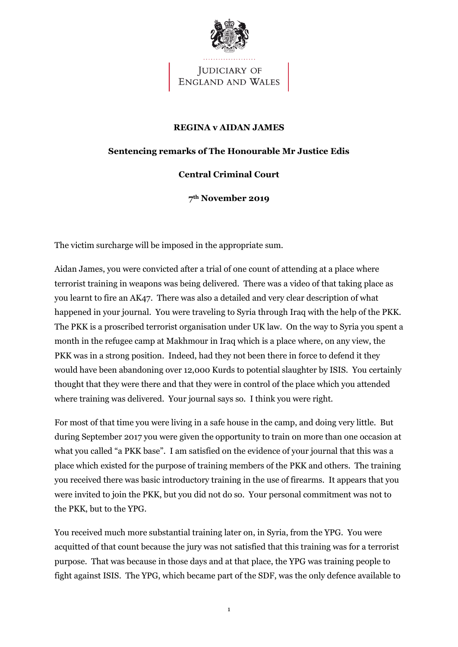

JUDICIARY OF **ENGLAND AND WALES** 

## **REGINA v AIDAN JAMES**

## **Sentencing remarks of The Honourable Mr Justice Edis**

## **Central Criminal Court**

**7th November 2019**

The victim surcharge will be imposed in the appropriate sum.

Aidan James, you were convicted after a trial of one count of attending at a place where terrorist training in weapons was being delivered. There was a video of that taking place as you learnt to fire an AK47. There was also a detailed and very clear description of what happened in your journal. You were traveling to Syria through Iraq with the help of the PKK. The PKK is a proscribed terrorist organisation under UK law. On the way to Syria you spent a month in the refugee camp at Makhmour in Iraq which is a place where, on any view, the PKK was in a strong position. Indeed, had they not been there in force to defend it they would have been abandoning over 12,000 Kurds to potential slaughter by ISIS. You certainly thought that they were there and that they were in control of the place which you attended where training was delivered. Your journal says so. I think you were right.

For most of that time you were living in a safe house in the camp, and doing very little. But during September 2017 you were given the opportunity to train on more than one occasion at what you called "a PKK base". I am satisfied on the evidence of your journal that this was a place which existed for the purpose of training members of the PKK and others. The training you received there was basic introductory training in the use of firearms. It appears that you were invited to join the PKK, but you did not do so. Your personal commitment was not to the PKK, but to the YPG.

You received much more substantial training later on, in Syria, from the YPG. You were acquitted of that count because the jury was not satisfied that this training was for a terrorist purpose. That was because in those days and at that place, the YPG was training people to fight against ISIS. The YPG, which became part of the SDF, was the only defence available to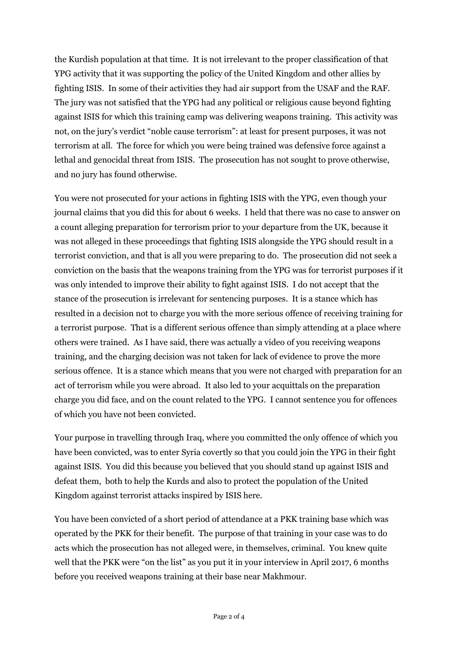the Kurdish population at that time. It is not irrelevant to the proper classification of that YPG activity that it was supporting the policy of the United Kingdom and other allies by fighting ISIS. In some of their activities they had air support from the USAF and the RAF. The jury was not satisfied that the YPG had any political or religious cause beyond fighting against ISIS for which this training camp was delivering weapons training. This activity was not, on the jury's verdict "noble cause terrorism": at least for present purposes, it was not terrorism at all. The force for which you were being trained was defensive force against a lethal and genocidal threat from ISIS. The prosecution has not sought to prove otherwise, and no jury has found otherwise.

You were not prosecuted for your actions in fighting ISIS with the YPG, even though your journal claims that you did this for about 6 weeks. I held that there was no case to answer on a count alleging preparation for terrorism prior to your departure from the UK, because it was not alleged in these proceedings that fighting ISIS alongside the YPG should result in a terrorist conviction, and that is all you were preparing to do. The prosecution did not seek a conviction on the basis that the weapons training from the YPG was for terrorist purposes if it was only intended to improve their ability to fight against ISIS. I do not accept that the stance of the prosecution is irrelevant for sentencing purposes. It is a stance which has resulted in a decision not to charge you with the more serious offence of receiving training for a terrorist purpose. That is a different serious offence than simply attending at a place where others were trained. As I have said, there was actually a video of you receiving weapons training, and the charging decision was not taken for lack of evidence to prove the more serious offence. It is a stance which means that you were not charged with preparation for an act of terrorism while you were abroad. It also led to your acquittals on the preparation charge you did face, and on the count related to the YPG. I cannot sentence you for offences of which you have not been convicted.

Your purpose in travelling through Iraq, where you committed the only offence of which you have been convicted, was to enter Syria covertly so that you could join the YPG in their fight against ISIS. You did this because you believed that you should stand up against ISIS and defeat them, both to help the Kurds and also to protect the population of the United Kingdom against terrorist attacks inspired by ISIS here.

You have been convicted of a short period of attendance at a PKK training base which was operated by the PKK for their benefit. The purpose of that training in your case was to do acts which the prosecution has not alleged were, in themselves, criminal. You knew quite well that the PKK were "on the list" as you put it in your interview in April 2017, 6 months before you received weapons training at their base near Makhmour.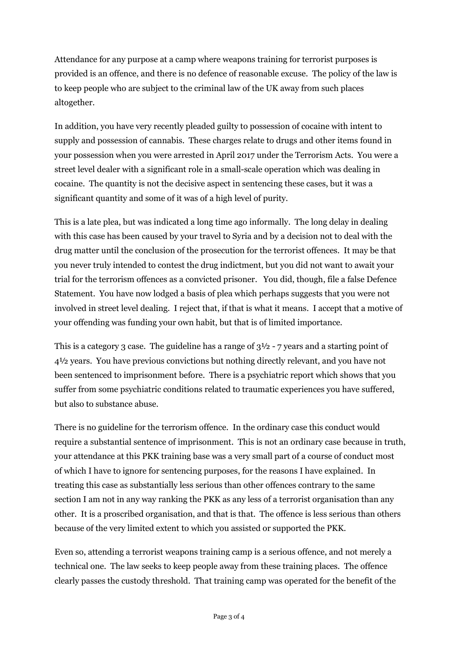Attendance for any purpose at a camp where weapons training for terrorist purposes is provided is an offence, and there is no defence of reasonable excuse. The policy of the law is to keep people who are subject to the criminal law of the UK away from such places altogether.

In addition, you have very recently pleaded guilty to possession of cocaine with intent to supply and possession of cannabis. These charges relate to drugs and other items found in your possession when you were arrested in April 2017 under the Terrorism Acts. You were a street level dealer with a significant role in a small-scale operation which was dealing in cocaine. The quantity is not the decisive aspect in sentencing these cases, but it was a significant quantity and some of it was of a high level of purity.

This is a late plea, but was indicated a long time ago informally. The long delay in dealing with this case has been caused by your travel to Syria and by a decision not to deal with the drug matter until the conclusion of the prosecution for the terrorist offences. It may be that you never truly intended to contest the drug indictment, but you did not want to await your trial for the terrorism offences as a convicted prisoner. You did, though, file a false Defence Statement. You have now lodged a basis of plea which perhaps suggests that you were not involved in street level dealing. I reject that, if that is what it means. I accept that a motive of your offending was funding your own habit, but that is of limited importance.

This is a category 3 case. The guideline has a range of  $3\frac{1}{2}$  - 7 years and a starting point of 4½ years. You have previous convictions but nothing directly relevant, and you have not been sentenced to imprisonment before. There is a psychiatric report which shows that you suffer from some psychiatric conditions related to traumatic experiences you have suffered, but also to substance abuse.

There is no guideline for the terrorism offence. In the ordinary case this conduct would require a substantial sentence of imprisonment. This is not an ordinary case because in truth, your attendance at this PKK training base was a very small part of a course of conduct most of which I have to ignore for sentencing purposes, for the reasons I have explained. In treating this case as substantially less serious than other offences contrary to the same section I am not in any way ranking the PKK as any less of a terrorist organisation than any other. It is a proscribed organisation, and that is that. The offence is less serious than others because of the very limited extent to which you assisted or supported the PKK.

Even so, attending a terrorist weapons training camp is a serious offence, and not merely a technical one. The law seeks to keep people away from these training places. The offence clearly passes the custody threshold. That training camp was operated for the benefit of the